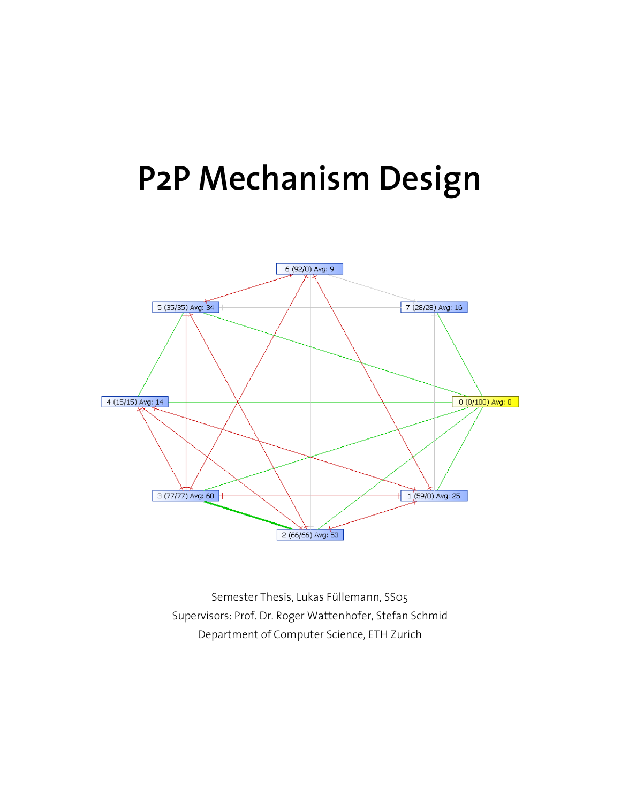# P2P Mechanism Design



Semester Thesis, Lukas Füllemann, SS05 Supervisors: Prof. Dr. Roger Wattenhofer, Stefan Schmid Department of Computer Science, ETH Zurich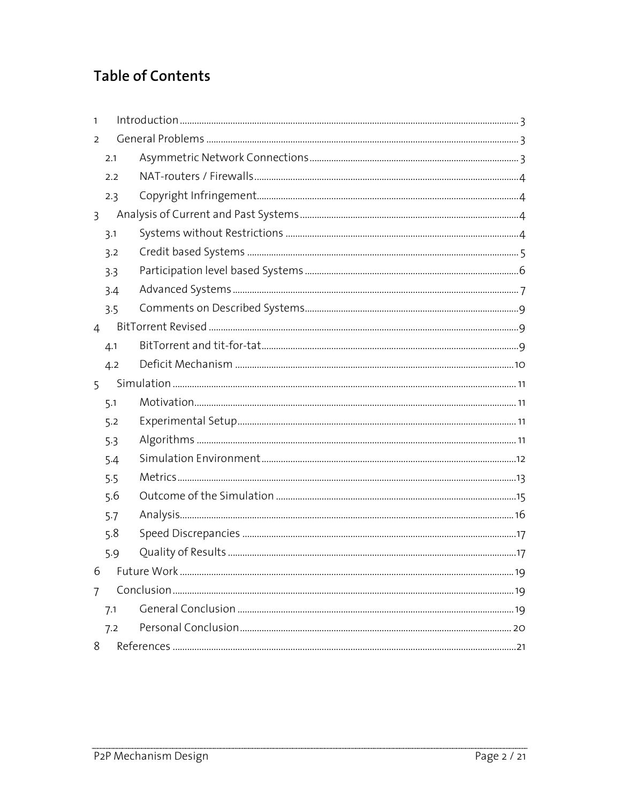# **Table of Contents**

| 1              |     |  |  |  |  |
|----------------|-----|--|--|--|--|
| $\overline{2}$ |     |  |  |  |  |
|                | 2.1 |  |  |  |  |
|                | 2.2 |  |  |  |  |
|                | 2.3 |  |  |  |  |
| $\overline{3}$ |     |  |  |  |  |
|                | 3.1 |  |  |  |  |
|                | 3.2 |  |  |  |  |
|                | 3.3 |  |  |  |  |
|                | 3.4 |  |  |  |  |
|                | 3.5 |  |  |  |  |
| $\overline{4}$ |     |  |  |  |  |
|                | 4.1 |  |  |  |  |
|                | 4.2 |  |  |  |  |
| 5              |     |  |  |  |  |
|                | 5.1 |  |  |  |  |
|                | 5.2 |  |  |  |  |
|                | 5.3 |  |  |  |  |
|                | 5.4 |  |  |  |  |
|                | 5.5 |  |  |  |  |
|                | 5.6 |  |  |  |  |
|                | 5.7 |  |  |  |  |
|                | 5.8 |  |  |  |  |
|                | 5.9 |  |  |  |  |
| 6              |     |  |  |  |  |
| $\overline{7}$ |     |  |  |  |  |
|                | 7.1 |  |  |  |  |
|                | 7.2 |  |  |  |  |
| 8              |     |  |  |  |  |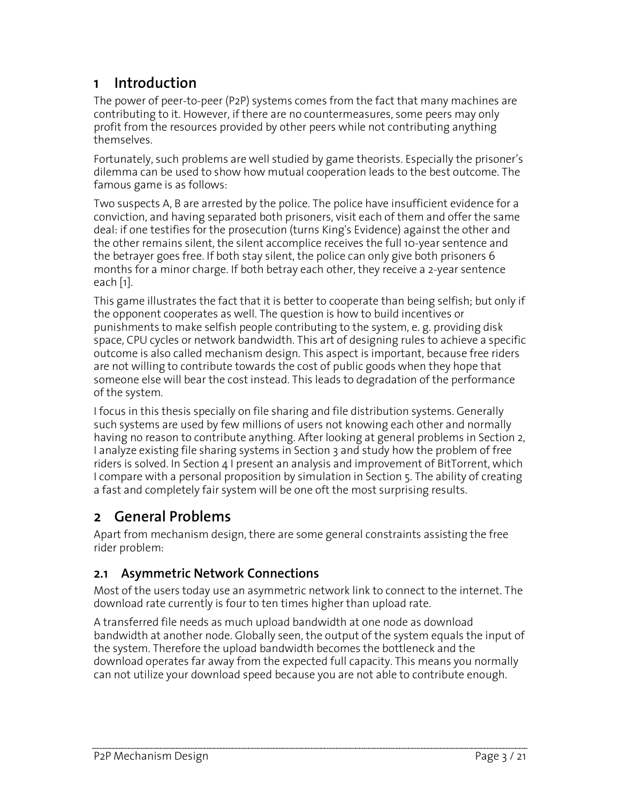# 1 Introduction

The power of peer-to-peer (P2P) systems comes from the fact that many machines are contributing to it. However, if there are no countermeasures, some peers may only profit from the resources provided by other peers while not contributing anything themselves.

Fortunately, such problems are well studied by game theorists. Especially the prisoner's dilemma can be used to show how mutual cooperation leads to the best outcome. The famous game is as follows:

Two suspects A, B are arrested by the police. The police have insufficient evidence for a conviction, and having separated both prisoners, visit each of them and offer the same deal: if one testifies for the prosecution (turns King's Evidence) against the other and the other remains silent, the silent accomplice receives the full 10-year sentence and the betrayer goes free. If both stay silent, the police can only give both prisoners 6 months for a minor charge. If both betray each other, they receive a 2-year sentence each [1].

This game illustrates the fact that it is better to cooperate than being selfish; but only if the opponent cooperates as well. The question is how to build incentives or punishments to make selfish people contributing to the system, e. g. providing disk space, CPU cycles or network bandwidth. This art of designing rules to achieve a specific outcome is also called mechanism design. This aspect is important, because free riders are not willing to contribute towards the cost of public goods when they hope that someone else will bear the cost instead. This leads to degradation of the performance of the system.

I focus in this thesis specially on file sharing and file distribution systems. Generally such systems are used by few millions of users not knowing each other and normally having no reason to contribute anything. After looking at general problems in Section 2, I analyze existing file sharing systems in Section 3 and study how the problem of free riders is solved. In Section 4 I present an analysis and improvement of BitTorrent, which I compare with a personal proposition by simulation in Section 5. The ability of creating a fast and completely fair system will be one oft the most surprising results.

# 2 General Problems

Apart from mechanism design, there are some general constraints assisting the free rider problem:

#### 2.1 Asymmetric Network Connections

Most of the users today use an asymmetric network link to connect to the internet. The download rate currently is four to ten times higher than upload rate.

A transferred file needs as much upload bandwidth at one node as download bandwidth at another node. Globally seen, the output of the system equals the input of the system. Therefore the upload bandwidth becomes the bottleneck and the download operates far away from the expected full capacity. This means you normally can not utilize your download speed because you are not able to contribute enough.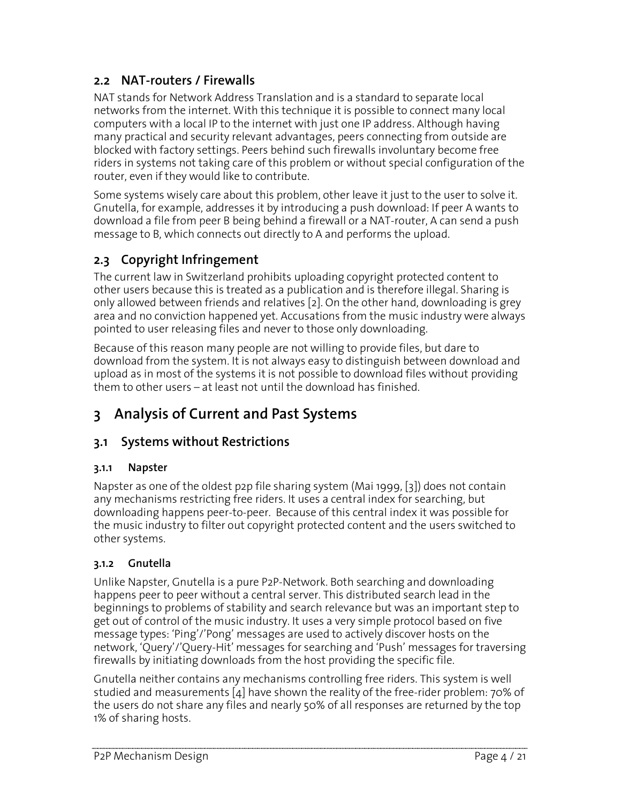#### 2.2 NAT-routers / Firewalls

NAT stands for Network Address Translation and is a standard to separate local networks from the internet. With this technique it is possible to connect many local computers with a local IP to the internet with just one IP address. Although having many practical and security relevant advantages, peers connecting from outside are blocked with factory settings. Peers behind such firewalls involuntary become free riders in systems not taking care of this problem or without special configuration of the router, even if they would like to contribute.

Some systems wisely care about this problem, other leave it just to the user to solve it. Gnutella, for example, addresses it by introducing a push download: If peer A wants to download a file from peer B being behind a firewall or a NAT-router, A can send a push message to B, which connects out directly to A and performs the upload.

# 2.3 Copyright Infringement

The current law in Switzerland prohibits uploading copyright protected content to other users because this is treated as a publication and is therefore illegal. Sharing is only allowed between friends and relatives [2]. On the other hand, downloading is grey area and no conviction happened yet. Accusations from the music industry were always pointed to user releasing files and never to those only downloading.

Because of this reason many people are not willing to provide files, but dare to download from the system. It is not always easy to distinguish between download and upload as in most of the systems it is not possible to download files without providing them to other users – at least not until the download has finished.

# 3 Analysis of Current and Past Systems

#### 3.1 Systems without Restrictions

#### 3.1.1 Napster

Napster as one of the oldest p2p file sharing system (Mai 1999, [3]) does not contain any mechanisms restricting free riders. It uses a central index for searching, but downloading happens peer-to-peer. Because of this central index it was possible for the music industry to filter out copyright protected content and the users switched to other systems.

#### 3.1.2 Gnutella

Unlike Napster, Gnutella is a pure P2P-Network. Both searching and downloading happens peer to peer without a central server. This distributed search lead in the beginnings to problems of stability and search relevance but was an important step to get out of control of the music industry. It uses a very simple protocol based on five message types: 'Ping'/'Pong' messages are used to actively discover hosts on the network, 'Query'/'Query-Hit' messages for searching and 'Push' messages for traversing firewalls by initiating downloads from the host providing the specific file.

Gnutella neither contains any mechanisms controlling free riders. This system is well studied and measurements  $\lbrack 4\rbrack$  have shown the reality of the free-rider problem: 70% of the users do not share any files and nearly 50% of all responses are returned by the top 1% of sharing hosts.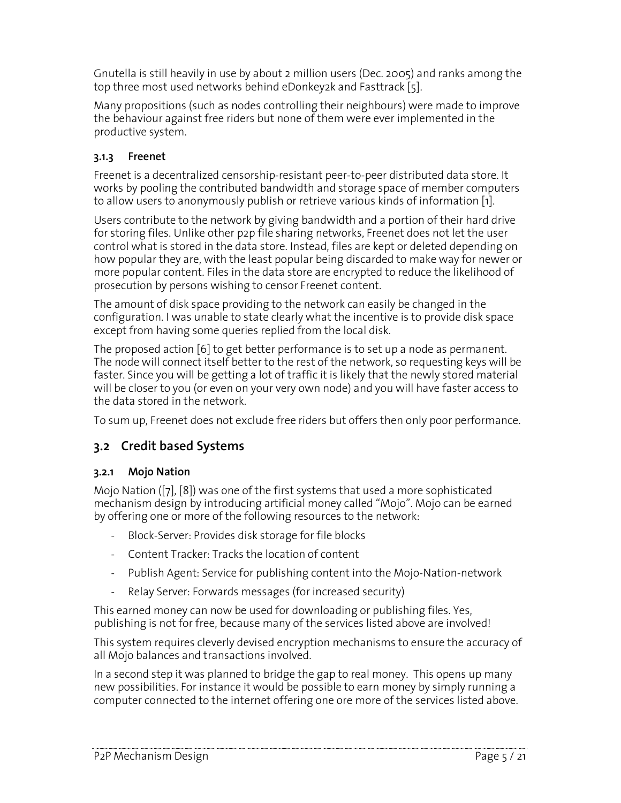Gnutella is still heavily in use by about 2 million users (Dec. 2005) and ranks among the top three most used networks behind eDonkey2k and Fasttrack [5].

Many propositions (such as nodes controlling their neighbours) were made to improve the behaviour against free riders but none of them were ever implemented in the productive system.

#### 3.1.3 Freenet

Freenet is a decentralized censorship-resistant peer-to-peer distributed data store. It works by pooling the contributed bandwidth and storage space of member computers to allow users to anonymously publish or retrieve various kinds of information [1].

Users contribute to the network by giving bandwidth and a portion of their hard drive for storing files. Unlike other p2p file sharing networks, Freenet does not let the user control what is stored in the data store. Instead, files are kept or deleted depending on how popular they are, with the least popular being discarded to make way for newer or more popular content. Files in the data store are encrypted to reduce the likelihood of prosecution by persons wishing to censor Freenet content.

The amount of disk space providing to the network can easily be changed in the configuration. I was unable to state clearly what the incentive is to provide disk space except from having some queries replied from the local disk.

The proposed action [6] to get better performance is to set up a node as permanent. The node will connect itself better to the rest of the network, so requesting keys will be faster. Since you will be getting a lot of traffic it is likely that the newly stored material will be closer to you (or even on your very own node) and you will have faster access to the data stored in the network.

To sum up, Freenet does not exclude free riders but offers then only poor performance.

#### 3.2 Credit based Systems

#### 3.2.1 Mojo Nation

Mojo Nation ([7], [8]) was one of the first systems that used a more sophisticated mechanism design by introducing artificial money called "Mojo". Mojo can be earned by offering one or more of the following resources to the network:

- Block-Server: Provides disk storage for file blocks
- Content Tracker: Tracks the location of content
- Publish Agent: Service for publishing content into the Mojo-Nation-network
- Relay Server: Forwards messages (for increased security)

This earned money can now be used for downloading or publishing files. Yes, publishing is not for free, because many of the services listed above are involved!

This system requires cleverly devised encryption mechanisms to ensure the accuracy of all Mojo balances and transactions involved.

In a second step it was planned to bridge the gap to real money. This opens up many new possibilities. For instance it would be possible to earn money by simply running a computer connected to the internet offering one ore more of the services listed above.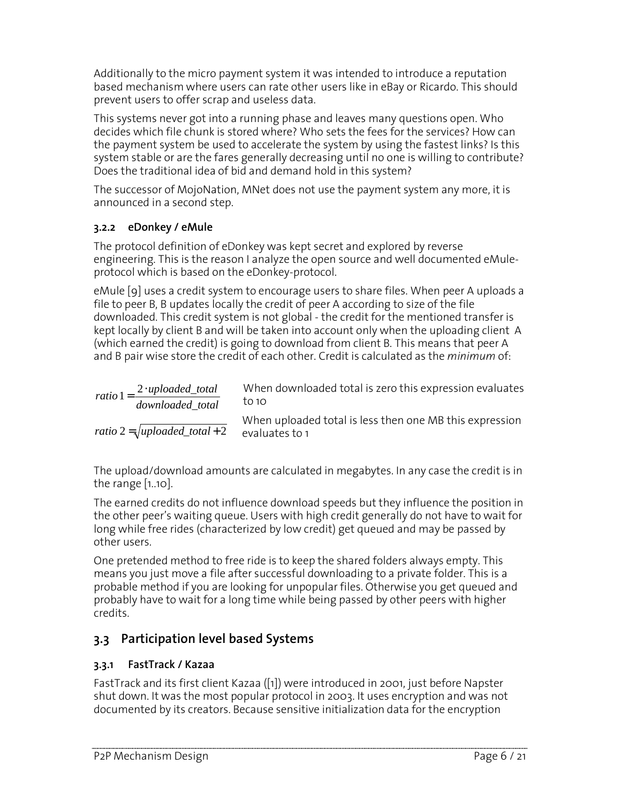Additionally to the micro payment system it was intended to introduce a reputation based mechanism where users can rate other users like in eBay or Ricardo. This should prevent users to offer scrap and useless data.

This systems never got into a running phase and leaves many questions open. Who decides which file chunk is stored where? Who sets the fees for the services? How can the payment system be used to accelerate the system by using the fastest links? Is this system stable or are the fares generally decreasing until no one is willing to contribute? Does the traditional idea of bid and demand hold in this system?

The successor of MojoNation, MNet does not use the payment system any more, it is announced in a second step.

#### 3.2.2 eDonkey / eMule

The protocol definition of eDonkey was kept secret and explored by reverse engineering. This is the reason I analyze the open source and well documented eMuleprotocol which is based on the eDonkey-protocol.

eMule [9] uses a credit system to encourage users to share files. When peer A uploads a file to peer B, B updates locally the credit of peer A according to size of the file downloaded. This credit system is not global - the credit for the mentioned transfer is kept locally by client B and will be taken into account only when the uploading client A (which earned the credit) is going to download from client B. This means that peer A and B pair wise store the credit of each other. Credit is calculated as the minimum of:

| ratio $1 = \frac{2 \cdot \text{uploaded\_total}}{2}$ | When downloaded total is zero this expression evaluates                   |
|------------------------------------------------------|---------------------------------------------------------------------------|
| downloaded total                                     | to 10                                                                     |
| ratio $2 = \sqrt{\text{uploaded\_total} + 2}$        | When uploaded total is less then one MB this expression<br>evaluates to 1 |

The upload/download amounts are calculated in megabytes. In any case the credit is in the range [1..10].

The earned credits do not influence download speeds but they influence the position in the other peer's waiting queue. Users with high credit generally do not have to wait for long while free rides (characterized by low credit) get queued and may be passed by other users.

One pretended method to free ride is to keep the shared folders always empty. This means you just move a file after successful downloading to a private folder. This is a probable method if you are looking for unpopular files. Otherwise you get queued and probably have to wait for a long time while being passed by other peers with higher credits.

#### 3.3 Participation level based Systems

#### 3.3.1 FastTrack / Kazaa

FastTrack and its first client Kazaa ([1]) were introduced in 2001, just before Napster shut down. It was the most popular protocol in 2003. It uses encryption and was not documented by its creators. Because sensitive initialization data for the encryption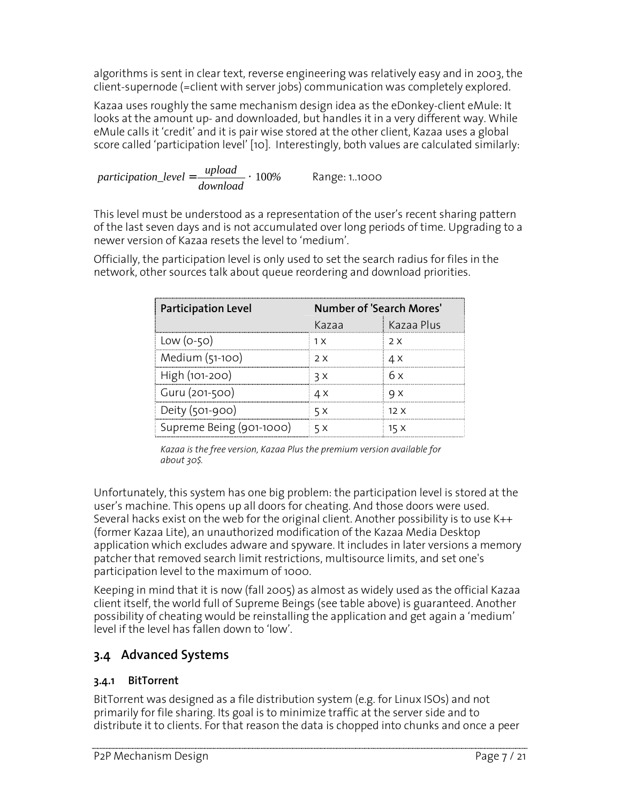algorithms is sent in clear text, reverse engineering was relatively easy and in 2003, the client-supernode (=client with server jobs) communication was completely explored.

Kazaa uses roughly the same mechanism design idea as the eDonkey-client eMule: It looks at the amount up- and downloaded, but handles it in a very different way. While eMule calls it 'credit' and it is pair wise stored at the other client, Kazaa uses a global score called 'participation level' [10]. Interestingly, both values are calculated similarly:

*participation level* 
$$
=
$$
  $\frac{upload}{download} \cdot 100\%$  Range: 1.1000

This level must be understood as a representation of the user's recent sharing pattern of the last seven days and is not accumulated over long periods of time. Upgrading to a newer version of Kazaa resets the level to 'medium'.

Officially, the participation level is only used to set the search radius for files in the network, other sources talk about queue reordering and download priorities.

| <b>Participation Level</b> | Number of 'Search Mores' |            |
|----------------------------|--------------------------|------------|
|                            | Kazaa                    | Kazaa Plus |
| Low $(o-50)$               | 1 X                      | 2 X        |
| Medium (51-100)            | 2 X                      | 4 X        |
| High (101-200)             | 3 X                      | 6 x        |
| Guru (201-500)             | ΔX                       | ч х        |
| Deity $(501-900)$          | 5 X                      | 12X        |
| Supreme Being (901-1000)   | 5 X                      | 15 X       |

Kazaa is the free version, Kazaa Plus the premium version available for about 30\$.

Unfortunately, this system has one big problem: the participation level is stored at the user's machine. This opens up all doors for cheating. And those doors were used. Several hacks exist on the web for the original client. Another possibility is to use K++ (former Kazaa Lite), an unauthorized modification of the Kazaa Media Desktop application which excludes adware and spyware. It includes in later versions a memory patcher that removed search limit restrictions, multisource limits, and set one's participation level to the maximum of 1000.

Keeping in mind that it is now (fall 2005) as almost as widely used as the official Kazaa client itself, the world full of Supreme Beings (see table above) is guaranteed. Another possibility of cheating would be reinstalling the application and get again a 'medium' level if the level has fallen down to 'low'.

#### 3.4 Advanced Systems

#### 3.4.1 BitTorrent

BitTorrent was designed as a file distribution system (e.g. for Linux ISOs) and not primarily for file sharing. Its goal is to minimize traffic at the server side and to distribute it to clients. For that reason the data is chopped into chunks and once a peer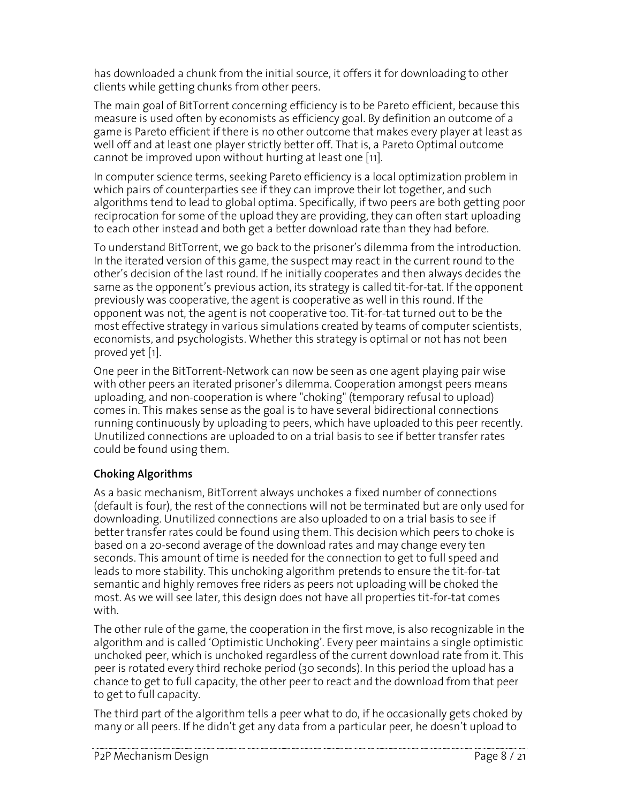has downloaded a chunk from the initial source, it offers it for downloading to other clients while getting chunks from other peers.

The main goal of BitTorrent concerning efficiency is to be Pareto efficient, because this measure is used often by economists as efficiency goal. By definition an outcome of a game is Pareto efficient if there is no other outcome that makes every player at least as well off and at least one player strictly better off. That is, a Pareto Optimal outcome cannot be improved upon without hurting at least one [11].

In computer science terms, seeking Pareto efficiency is a local optimization problem in which pairs of counterparties see if they can improve their lot together, and such algorithms tend to lead to global optima. Specifically, if two peers are both getting poor reciprocation for some of the upload they are providing, they can often start uploading to each other instead and both get a better download rate than they had before.

To understand BitTorrent, we go back to the prisoner's dilemma from the introduction. In the iterated version of this game, the suspect may react in the current round to the other's decision of the last round. If he initially cooperates and then always decides the same as the opponent's previous action, its strategy is called tit-for-tat. If the opponent previously was cooperative, the agent is cooperative as well in this round. If the opponent was not, the agent is not cooperative too. Tit-for-tat turned out to be the most effective strategy in various simulations created by teams of computer scientists, economists, and psychologists. Whether this strategy is optimal or not has not been proved yet [1].

One peer in the BitTorrent-Network can now be seen as one agent playing pair wise with other peers an iterated prisoner's dilemma. Cooperation amongst peers means uploading, and non-cooperation is where "choking" (temporary refusal to upload) comes in. This makes sense as the goal is to have several bidirectional connections running continuously by uploading to peers, which have uploaded to this peer recently. Unutilized connections are uploaded to on a trial basis to see if better transfer rates could be found using them.

#### Choking Algorithms

As a basic mechanism, BitTorrent always unchokes a fixed number of connections (default is four), the rest of the connections will not be terminated but are only used for downloading. Unutilized connections are also uploaded to on a trial basis to see if better transfer rates could be found using them. This decision which peers to choke is based on a 20-second average of the download rates and may change every ten seconds. This amount of time is needed for the connection to get to full speed and leads to more stability. This unchoking algorithm pretends to ensure the tit-for-tat semantic and highly removes free riders as peers not uploading will be choked the most. As we will see later, this design does not have all properties tit-for-tat comes with.

The other rule of the game, the cooperation in the first move, is also recognizable in the algorithm and is called 'Optimistic Unchoking'. Every peer maintains a single optimistic unchoked peer, which is unchoked regardless of the current download rate from it. This peer is rotated every third rechoke period (30 seconds). In this period the upload has a chance to get to full capacity, the other peer to react and the download from that peer to get to full capacity.

The third part of the algorithm tells a peer what to do, if he occasionally gets choked by many or all peers. If he didn't get any data from a particular peer, he doesn't upload to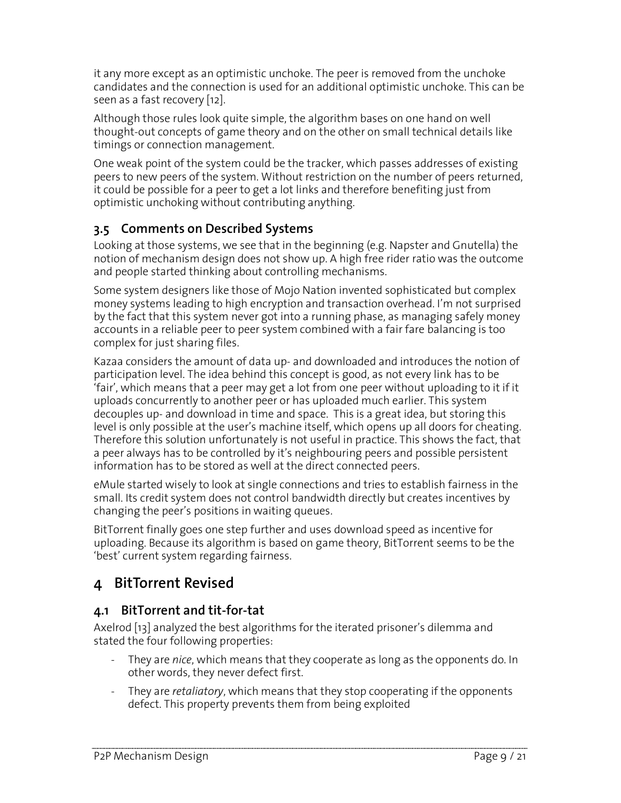it any more except as an optimistic unchoke. The peer is removed from the unchoke candidates and the connection is used for an additional optimistic unchoke. This can be seen as a fast recovery [12].

Although those rules look quite simple, the algorithm bases on one hand on well thought-out concepts of game theory and on the other on small technical details like timings or connection management.

One weak point of the system could be the tracker, which passes addresses of existing peers to new peers of the system. Without restriction on the number of peers returned, it could be possible for a peer to get a lot links and therefore benefiting just from optimistic unchoking without contributing anything.

#### 3.5 Comments on Described Systems

Looking at those systems, we see that in the beginning (e.g. Napster and Gnutella) the notion of mechanism design does not show up. A high free rider ratio was the outcome and people started thinking about controlling mechanisms.

Some system designers like those of Mojo Nation invented sophisticated but complex money systems leading to high encryption and transaction overhead. I'm not surprised by the fact that this system never got into a running phase, as managing safely money accounts in a reliable peer to peer system combined with a fair fare balancing is too complex for just sharing files.

Kazaa considers the amount of data up- and downloaded and introduces the notion of participation level. The idea behind this concept is good, as not every link has to be 'fair', which means that a peer may get a lot from one peer without uploading to it if it uploads concurrently to another peer or has uploaded much earlier. This system decouples up- and download in time and space. This is a great idea, but storing this level is only possible at the user's machine itself, which opens up all doors for cheating. Therefore this solution unfortunately is not useful in practice. This shows the fact, that a peer always has to be controlled by it's neighbouring peers and possible persistent information has to be stored as well at the direct connected peers.

eMule started wisely to look at single connections and tries to establish fairness in the small. Its credit system does not control bandwidth directly but creates incentives by changing the peer's positions in waiting queues.

BitTorrent finally goes one step further and uses download speed as incentive for uploading. Because its algorithm is based on game theory, BitTorrent seems to be the 'best' current system regarding fairness.

# 4 BitTorrent Revised

#### 4.1 BitTorrent and tit-for-tat

Axelrod [13] analyzed the best algorithms for the iterated prisoner's dilemma and stated the four following properties:

- They are nice, which means that they cooperate as long as the opponents do. In other words, they never defect first.
- They are retaliatory, which means that they stop cooperating if the opponents defect. This property prevents them from being exploited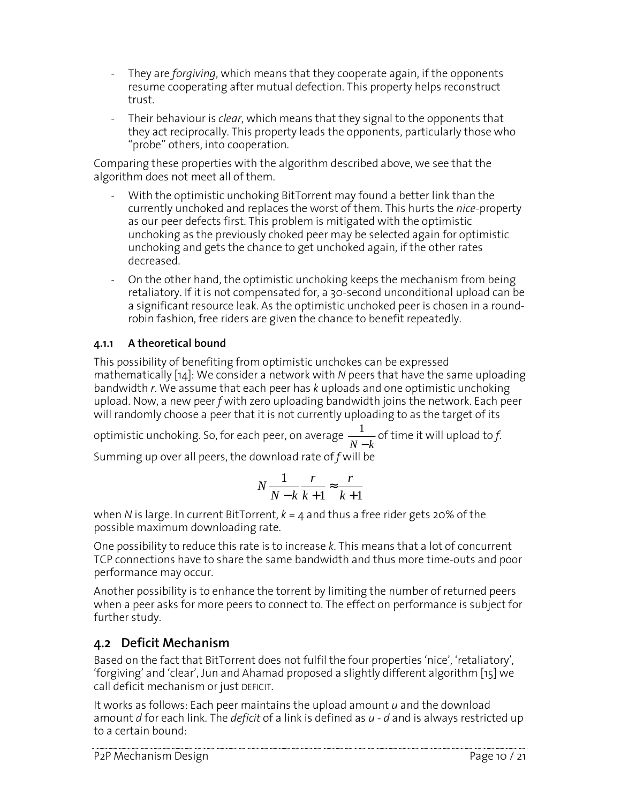- They are forgiving, which means that they cooperate again, if the opponents resume cooperating after mutual defection. This property helps reconstruct trust.
- Their behaviour is *clear*, which means that they signal to the opponents that they act reciprocally. This property leads the opponents, particularly those who "probe" others, into cooperation.

Comparing these properties with the algorithm described above, we see that the algorithm does not meet all of them.

- With the optimistic unchoking BitTorrent may found a better link than the currently unchoked and replaces the worst of them. This hurts the nice-property as our peer defects first. This problem is mitigated with the optimistic unchoking as the previously choked peer may be selected again for optimistic unchoking and gets the chance to get unchoked again, if the other rates decreased.
- On the other hand, the optimistic unchoking keeps the mechanism from being retaliatory. If it is not compensated for, a 30-second unconditional upload can be a significant resource leak. As the optimistic unchoked peer is chosen in a roundrobin fashion, free riders are given the chance to benefit repeatedly.

#### 4.1.1 A theoretical bound

This possibility of benefiting from optimistic unchokes can be expressed mathematically [14]: We consider a network with N peers that have the same uploading bandwidth r. We assume that each peer has k uploads and one optimistic unchoking upload. Now, a new peer  $f$  with zero uploading bandwidth joins the network. Each peer will randomly choose a peer that it is not currently uploading to as the target of its

optimistic unchoking. So, for each peer, on average *N* − *k*  $\frac{1}{\sqrt{2}}$  of time it will upload to f. Summing up over all peers, the download rate of  $f$  will be

$$
N\frac{1}{N-k}\frac{r}{k+1} \approx \frac{r}{k+1}
$$

when N is large. In current BitTorrent,  $k = 4$  and thus a free rider gets 20% of the possible maximum downloading rate.

One possibility to reduce this rate is to increase k. This means that a lot of concurrent TCP connections have to share the same bandwidth and thus more time-outs and poor performance may occur.

Another possibility is to enhance the torrent by limiting the number of returned peers when a peer asks for more peers to connect to. The effect on performance is subject for further study.

#### 4.2 Deficit Mechanism

Based on the fact that BitTorrent does not fulfil the four properties 'nice', 'retaliatory', 'forgiving' and 'clear', Jun and Ahamad proposed a slightly different algorithm [15] we call deficit mechanism or just DEFICIT.

It works as follows: Each peer maintains the upload amount  $u$  and the download amount d for each link. The deficit of a link is defined as  $u$  - d and is always restricted up to a certain bound: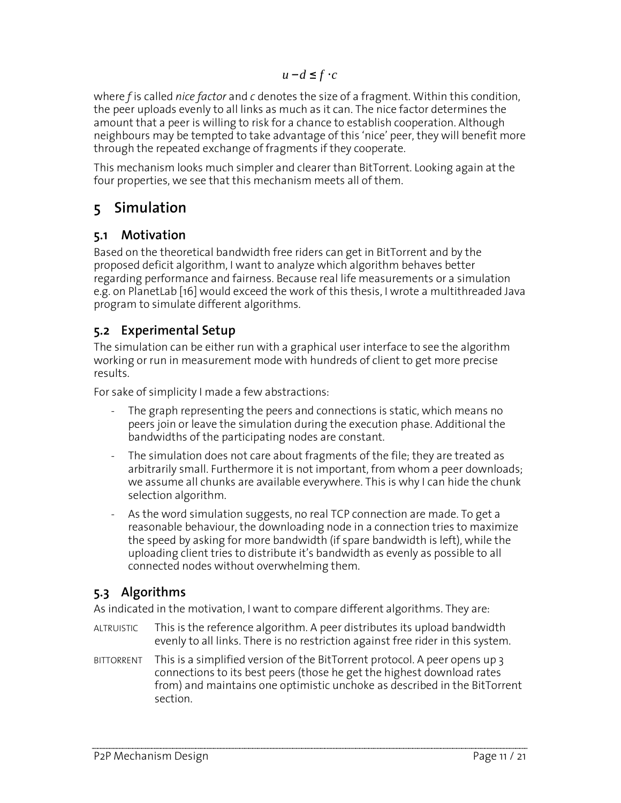where  $f$  is called *nice factor* and  $c$  denotes the size of a fragment. Within this condition, the peer uploads evenly to all links as much as it can. The nice factor determines the amount that a peer is willing to risk for a chance to establish cooperation. Although neighbours may be tempted to take advantage of this 'nice' peer, they will benefit more through the repeated exchange of fragments if they cooperate.

This mechanism looks much simpler and clearer than BitTorrent. Looking again at the four properties, we see that this mechanism meets all of them.

# 5 Simulation

#### 5.1 Motivation

Based on the theoretical bandwidth free riders can get in BitTorrent and by the proposed deficit algorithm, I want to analyze which algorithm behaves better regarding performance and fairness. Because real life measurements or a simulation e.g. on PlanetLab [16] would exceed the work of this thesis, I wrote a multithreaded Java program to simulate different algorithms.

#### 5.2 Experimental Setup

The simulation can be either run with a graphical user interface to see the algorithm working or run in measurement mode with hundreds of client to get more precise results.

For sake of simplicity I made a few abstractions:

- The graph representing the peers and connections is static, which means no peers join or leave the simulation during the execution phase. Additional the bandwidths of the participating nodes are constant.
- The simulation does not care about fragments of the file; they are treated as arbitrarily small. Furthermore it is not important, from whom a peer downloads; we assume all chunks are available everywhere. This is why I can hide the chunk selection algorithm.
- As the word simulation suggests, no real TCP connection are made. To get a reasonable behaviour, the downloading node in a connection tries to maximize the speed by asking for more bandwidth (if spare bandwidth is left), while the uploading client tries to distribute it's bandwidth as evenly as possible to all connected nodes without overwhelming them.

### 5.3 Algorithms

As indicated in the motivation, I want to compare different algorithms. They are:

- ALTRUISTIC This is the reference algorithm. A peer distributes its upload bandwidth evenly to all links. There is no restriction against free rider in this system.
- BITTORRENT This is a simplified version of the BitTorrent protocol. A peer opens up 3 connections to its best peers (those he get the highest download rates from) and maintains one optimistic unchoke as described in the BitTorrent section.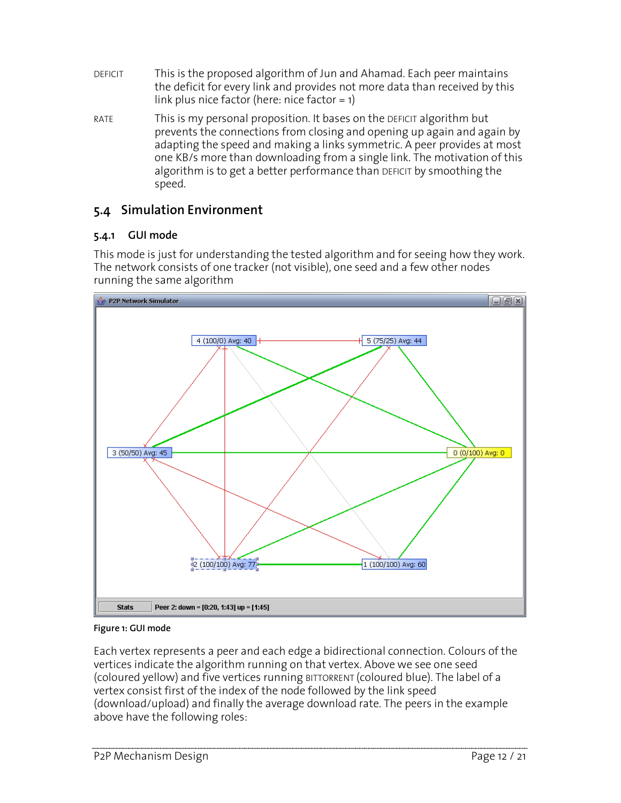- DEFICIT This is the proposed algorithm of Jun and Ahamad. Each peer maintains the deficit for every link and provides not more data than received by this link plus nice factor (here: nice factor = 1)
- RATE This is my personal proposition. It bases on the DEFICIT algorithm but prevents the connections from closing and opening up again and again by adapting the speed and making a links symmetric. A peer provides at most one KB/s more than downloading from a single link. The motivation of this algorithm is to get a better performance than DEFICIT by smoothing the speed.

#### 5.4 Simulation Environment

#### 5.4.1 GUI mode

This mode is just for understanding the tested algorithm and for seeing how they work. The network consists of one tracker (not visible), one seed and a few other nodes running the same algorithm



#### Figure 1: GUI mode

Each vertex represents a peer and each edge a bidirectional connection. Colours of the vertices indicate the algorithm running on that vertex. Above we see one seed (coloured yellow) and five vertices running BITTORRENT (coloured blue). The label of a vertex consist first of the index of the node followed by the link speed (download/upload) and finally the average download rate. The peers in the example above have the following roles: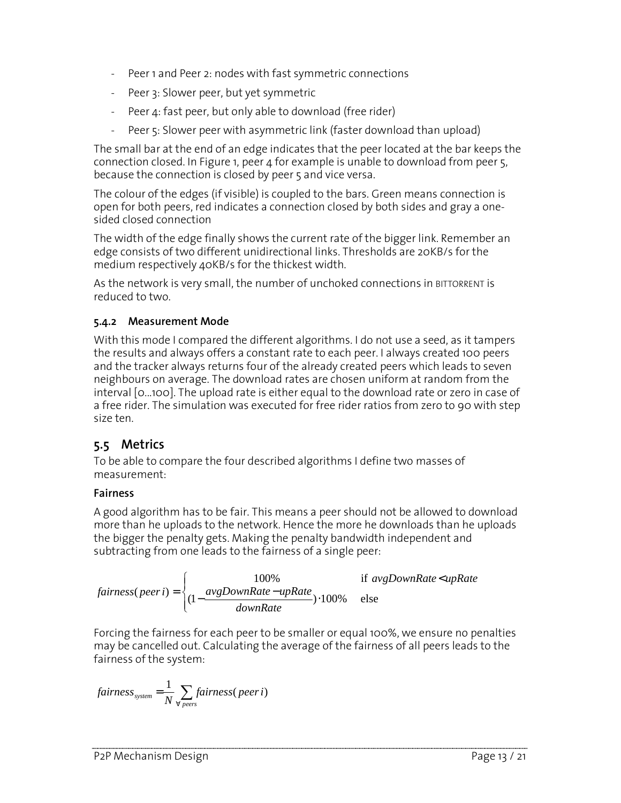- Peer 1 and Peer 2: nodes with fast symmetric connections
- Peer 3: Slower peer, but yet symmetric
- Peer 4: fast peer, but only able to download (free rider)
- Peer 5: Slower peer with asymmetric link (faster download than upload)

The small bar at the end of an edge indicates that the peer located at the bar keeps the connection closed. In Figure 1, peer 4 for example is unable to download from peer 5, because the connection is closed by peer 5 and vice versa.

The colour of the edges (if visible) is coupled to the bars. Green means connection is open for both peers, red indicates a connection closed by both sides and gray a onesided closed connection

The width of the edge finally shows the current rate of the bigger link. Remember an edge consists of two different unidirectional links. Thresholds are 20KB/s for the medium respectively 40KB/s for the thickest width.

As the network is very small, the number of unchoked connections in BITTORRENT is reduced to two.

#### 5.4.2 Measurement Mode

With this mode I compared the different algorithms. I do not use a seed, as it tampers the results and always offers a constant rate to each peer. I always created 100 peers and the tracker always returns four of the already created peers which leads to seven neighbours on average. The download rates are chosen uniform at random from the interval [0...100]. The upload rate is either equal to the download rate or zero in case of a free rider. The simulation was executed for free rider ratios from zero to 90 with step size ten.

#### 5.5 Metrics

To be able to compare the four described algorithms I define two masses of measurement:

#### Fairness

A good algorithm has to be fair. This means a peer should not be allowed to download more than he uploads to the network. Hence the more he downloads than he uploads the bigger the penalty gets. Making the penalty bandwidth independent and subtracting from one leads to the fairness of a single peer:

$$
fairness(peer i) = \begin{cases} 100\% & \text{if avgDownRate} < u\text{pRate} \\ (1 - \frac{avgDownRate - upRate}{downRate}) \cdot 100\% & \text{else} \end{cases}
$$

Forcing the fairness for each peer to be smaller or equal 100%, we ensure no penalties may be cancelled out. Calculating the average of the fairness of all peers leads to the fairness of the system:

$$
fairness_{system} = \frac{1}{N} \sum_{\forall\text{ }p \text{ }ers} \text{fairness}(\text{ }peer\text{ }i)
$$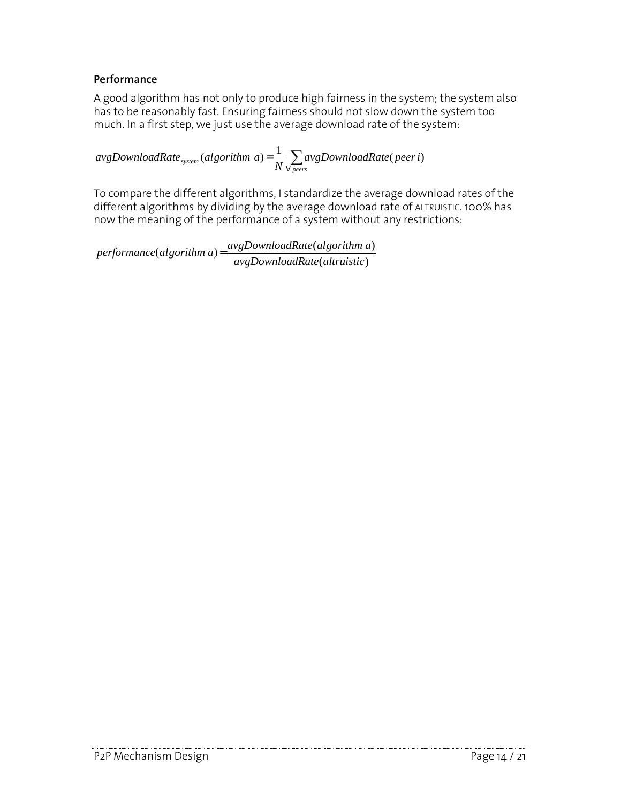#### Performance

A good algorithm has not only to produce high fairness in the system; the system also has to be reasonably fast. Ensuring fairness should not slow down the system too much. In a first step, we just use the average download rate of the system:

∑ ∀ = *peers*  $\frac{1}{s_{system}}$  (algorithm a) =  $\frac{1}{N}\sum_{\forall\, p e e r s}$  *avgDownloadRate* (peer i  $avgDownloadRate_{\text{system}}(algorithm\ a) = \frac{1}{N} \sum_{i}avgDownloadRate(peeri)$ 

To compare the different algorithms, I standardize the average download rates of the different algorithms by dividing by the average download rate of ALTRUISTIC. 100% has now the meaning of the performance of a system without any restrictions:

(altruistic)  $(algorithms a) = \frac{avgDownloadRate(algorithms a)}{s}$ *avgDownloadRate altruistic avgDownloadRate algorithm a performance algorithm a* =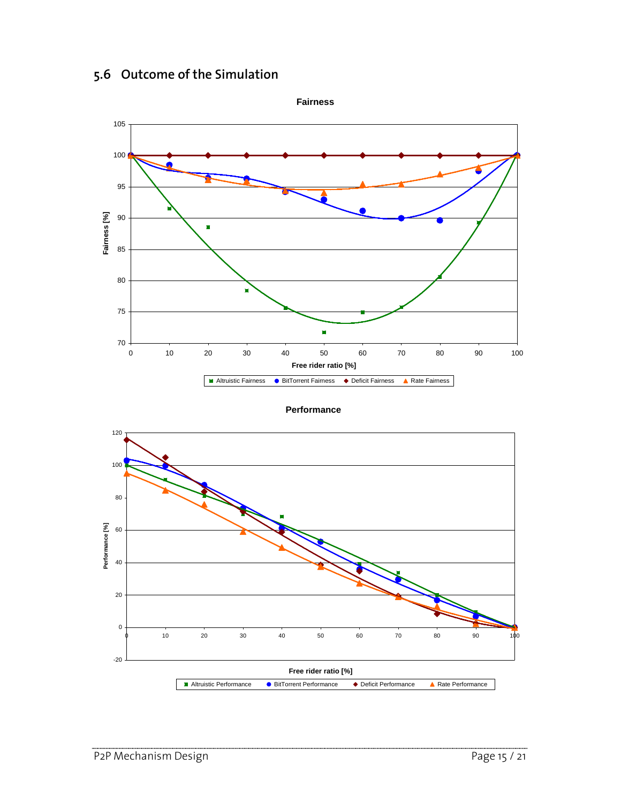#### 5.6 Outcome of the Simulation



**Performance**

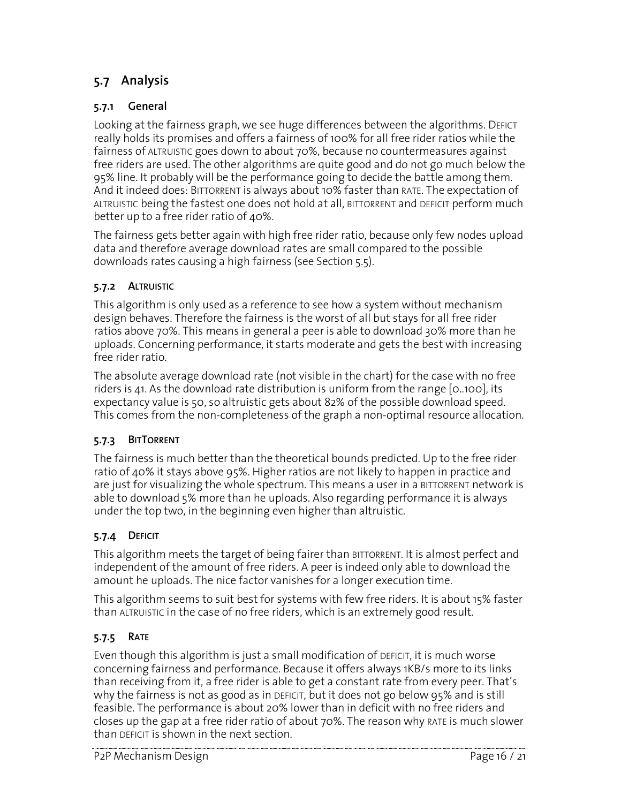#### 5.7 Analysis

#### 5.7.1 General

Looking at the fairness graph, we see huge differences between the algorithms. DEFICT really holds its promises and offers a fairness of 100% for all free rider ratios while the fairness of ALTRUISTIC goes down to about 70%, because no countermeasures against free riders are used. The other algorithms are quite good and do not go much below the 95% line. It probably will be the performance going to decide the battle among them. And it indeed does: BITTORRENT is always about 10% faster than RATE. The expectation of ALTRUISTIC being the fastest one does not hold at all, BITTORRENT and DEFICIT perform much better up to a free rider ratio of 40%.

The fairness gets better again with high free rider ratio, because only few nodes upload data and therefore average download rates are small compared to the possible downloads rates causing a high fairness (see Section 5.5).

#### 5.7.2 ALTRUISTIC

This algorithm is only used as a reference to see how a system without mechanism design behaves. Therefore the fairness is the worst of all but stays for all free rider ratios above 70%. This means in general a peer is able to download 30% more than he uploads. Concerning performance, it starts moderate and gets the best with increasing free rider ratio.

The absolute average download rate (not visible in the chart) for the case with no free riders is 41. As the download rate distribution is uniform from the range [0..100], its expectancy value is 50, so altruistic gets about 82% of the possible download speed. This comes from the non-completeness of the graph a non-optimal resource allocation.

#### 5.7.3 BITTORRENT

The fairness is much better than the theoretical bounds predicted. Up to the free rider ratio of 40% it stays above 95%. Higher ratios are not likely to happen in practice and are just for visualizing the whole spectrum. This means a user in a BITTORRENT network is able to download 5% more than he uploads. Also regarding performance it is always under the top two, in the beginning even higher than altruistic.

#### 5.7.4 DEFICIT

This algorithm meets the target of being fairer than BITTORRENT. It is almost perfect and independent of the amount of free riders. A peer is indeed only able to download the amount he uploads. The nice factor vanishes for a longer execution time.

This algorithm seems to suit best for systems with few free riders. It is about 15% faster than ALTRUISTIC in the case of no free riders, which is an extremely good result.

#### 5.7.5 RATE

Even though this algorithm is just a small modification of DEFICIT, it is much worse concerning fairness and performance. Because it offers always 1KB/s more to its links than receiving from it, a free rider is able to get a constant rate from every peer. That's why the fairness is not as good as in DEFICIT, but it does not go below 95% and is still feasible. The performance is about 20% lower than in deficit with no free riders and closes up the gap at a free rider ratio of about 70%. The reason why RATE is much slower than DEFICIT is shown in the next section.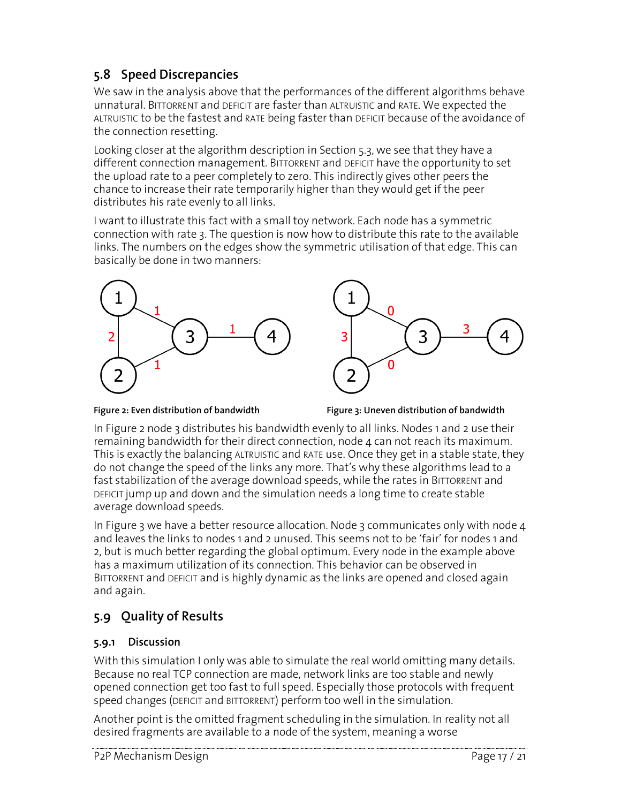# 5.8 Speed Discrepancies

We saw in the analysis above that the performances of the different algorithms behave unnatural. BITTORRENT and DEFICIT are faster than ALTRUISTIC and RATE. We expected the ALTRUISTIC to be the fastest and RATE being faster than DEFICIT because of the avoidance of the connection resetting.

Looking closer at the algorithm description in Section 5.3, we see that they have a different connection management. BITTORRENT and DEFICIT have the opportunity to set the upload rate to a peer completely to zero. This indirectly gives other peers the chance to increase their rate temporarily higher than they would get if the peer distributes his rate evenly to all links.

I want to illustrate this fact with a small toy network. Each node has a symmetric connection with rate 3. The question is now how to distribute this rate to the available links. The numbers on the edges show the symmetric utilisation of that edge. This can basically be done in two manners:







In Figure 2 node 3 distributes his bandwidth evenly to all links. Nodes 1 and 2 use their remaining bandwidth for their direct connection, node  $\Delta$  can not reach its maximum. This is exactly the balancing ALTRUISTIC and RATE use. Once they get in a stable state, they do not change the speed of the links any more. That's why these algorithms lead to a fast stabilization of the average download speeds, while the rates in BITTORRENT and DEFICIT jump up and down and the simulation needs a long time to create stable average download speeds.

In Figure 3 we have a better resource allocation. Node 3 communicates only with node  $4$ and leaves the links to nodes 1 and 2 unused. This seems not to be 'fair' for nodes 1 and 2, but is much better regarding the global optimum. Every node in the example above has a maximum utilization of its connection. This behavior can be observed in BITTORRENT and DEFICIT and is highly dynamic as the links are opened and closed again and again.

### 5.9 Quality of Results

#### 5.9.1 Discussion

With this simulation I only was able to simulate the real world omitting many details. Because no real TCP connection are made, network links are too stable and newly opened connection get too fast to full speed. Especially those protocols with frequent speed changes (DEFICIT and BITTORRENT) perform too well in the simulation.

Another point is the omitted fragment scheduling in the simulation. In reality not all desired fragments are available to a node of the system, meaning a worse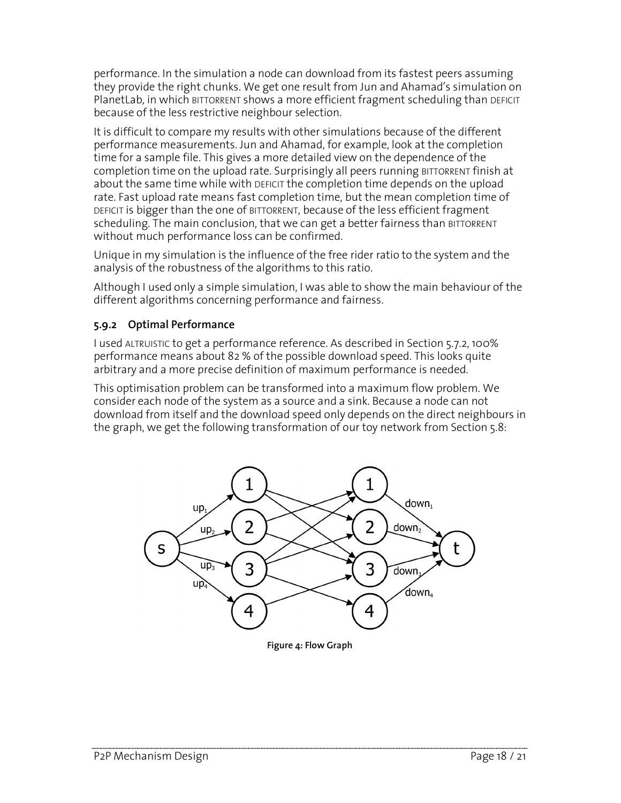performance. In the simulation a node can download from its fastest peers assuming they provide the right chunks. We get one result from Jun and Ahamad's simulation on PlanetLab, in which BITTORRENT shows a more efficient fragment scheduling than DEFICIT because of the less restrictive neighbour selection.

It is difficult to compare my results with other simulations because of the different performance measurements. Jun and Ahamad, for example, look at the completion time for a sample file. This gives a more detailed view on the dependence of the completion time on the upload rate. Surprisingly all peers running BITTORRENT finish at about the same time while with DEFICIT the completion time depends on the upload rate. Fast upload rate means fast completion time, but the mean completion time of DEFICIT is bigger than the one of BITTORRENT, because of the less efficient fragment scheduling. The main conclusion, that we can get a better fairness than BITTORRENT without much performance loss can be confirmed.

Unique in my simulation is the influence of the free rider ratio to the system and the analysis of the robustness of the algorithms to this ratio.

Although I used only a simple simulation, I was able to show the main behaviour of the different algorithms concerning performance and fairness.

#### 5.9.2 Optimal Performance

I used ALTRUISTIC to get a performance reference. As described in Section 5.7.2, 100% performance means about 82 % of the possible download speed. This looks quite arbitrary and a more precise definition of maximum performance is needed.

This optimisation problem can be transformed into a maximum flow problem. We consider each node of the system as a source and a sink. Because a node can not download from itself and the download speed only depends on the direct neighbours in the graph, we get the following transformation of our toy network from Section 5.8:



Figure 4: Flow Graph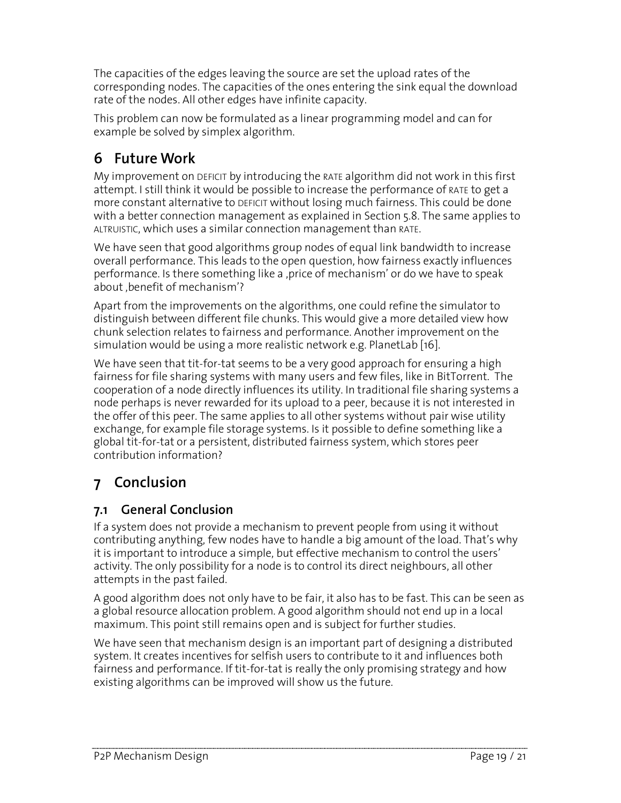The capacities of the edges leaving the source are set the upload rates of the corresponding nodes. The capacities of the ones entering the sink equal the download rate of the nodes. All other edges have infinite capacity.

This problem can now be formulated as a linear programming model and can for example be solved by simplex algorithm.

# 6 Future Work

My improvement on DEFICIT by introducing the RATE algorithm did not work in this first attempt. I still think it would be possible to increase the performance of RATE to get a more constant alternative to DEFICIT without losing much fairness. This could be done with a better connection management as explained in Section 5.8. The same applies to ALTRUISTIC, which uses a similar connection management than RATE.

We have seen that good algorithms group nodes of equal link bandwidth to increase overall performance. This leads to the open question, how fairness exactly influences performance. Is there something like a ,price of mechanism' or do we have to speak about ,benefit of mechanism'?

Apart from the improvements on the algorithms, one could refine the simulator to distinguish between different file chunks. This would give a more detailed view how chunk selection relates to fairness and performance. Another improvement on the simulation would be using a more realistic network e.g. PlanetLab [16].

We have seen that tit-for-tat seems to be a very good approach for ensuring a high fairness for file sharing systems with many users and few files, like in BitTorrent. The cooperation of a node directly influences its utility. In traditional file sharing systems a node perhaps is never rewarded for its upload to a peer, because it is not interested in the offer of this peer. The same applies to all other systems without pair wise utility exchange, for example file storage systems. Is it possible to define something like a global tit-for-tat or a persistent, distributed fairness system, which stores peer contribution information?

# 7 Conclusion

### 7.1 General Conclusion

If a system does not provide a mechanism to prevent people from using it without contributing anything, few nodes have to handle a big amount of the load. That's why it is important to introduce a simple, but effective mechanism to control the users' activity. The only possibility for a node is to control its direct neighbours, all other attempts in the past failed.

A good algorithm does not only have to be fair, it also has to be fast. This can be seen as a global resource allocation problem. A good algorithm should not end up in a local maximum. This point still remains open and is subject for further studies.

We have seen that mechanism design is an important part of designing a distributed system. It creates incentives for selfish users to contribute to it and influences both fairness and performance. If tit-for-tat is really the only promising strategy and how existing algorithms can be improved will show us the future.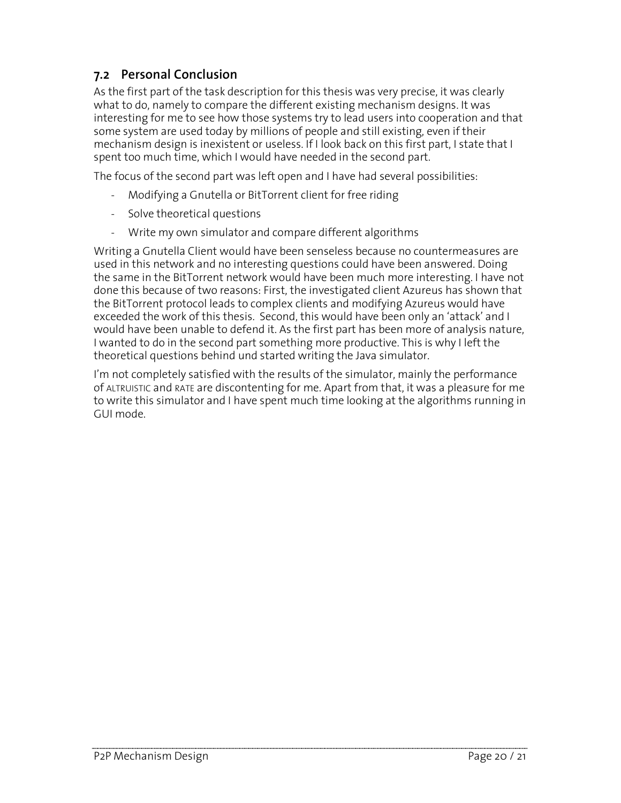#### 7.2 Personal Conclusion

As the first part of the task description for this thesis was very precise, it was clearly what to do, namely to compare the different existing mechanism designs. It was interesting for me to see how those systems try to lead users into cooperation and that some system are used today by millions of people and still existing, even if their mechanism design is inexistent or useless. If I look back on this first part, I state that I spent too much time, which I would have needed in the second part.

The focus of the second part was left open and I have had several possibilities:

- Modifying a Gnutella or BitTorrent client for free riding
- Solve theoretical questions
- Write my own simulator and compare different algorithms

Writing a Gnutella Client would have been senseless because no countermeasures are used in this network and no interesting questions could have been answered. Doing the same in the BitTorrent network would have been much more interesting. I have not done this because of two reasons: First, the investigated client Azureus has shown that the BitTorrent protocol leads to complex clients and modifying Azureus would have exceeded the work of this thesis. Second, this would have been only an 'attack' and I would have been unable to defend it. As the first part has been more of analysis nature, I wanted to do in the second part something more productive. This is why I left the theoretical questions behind und started writing the Java simulator.

I'm not completely satisfied with the results of the simulator, mainly the performance of ALTRUISTIC and RATE are discontenting for me. Apart from that, it was a pleasure for me to write this simulator and I have spent much time looking at the algorithms running in GUI mode.